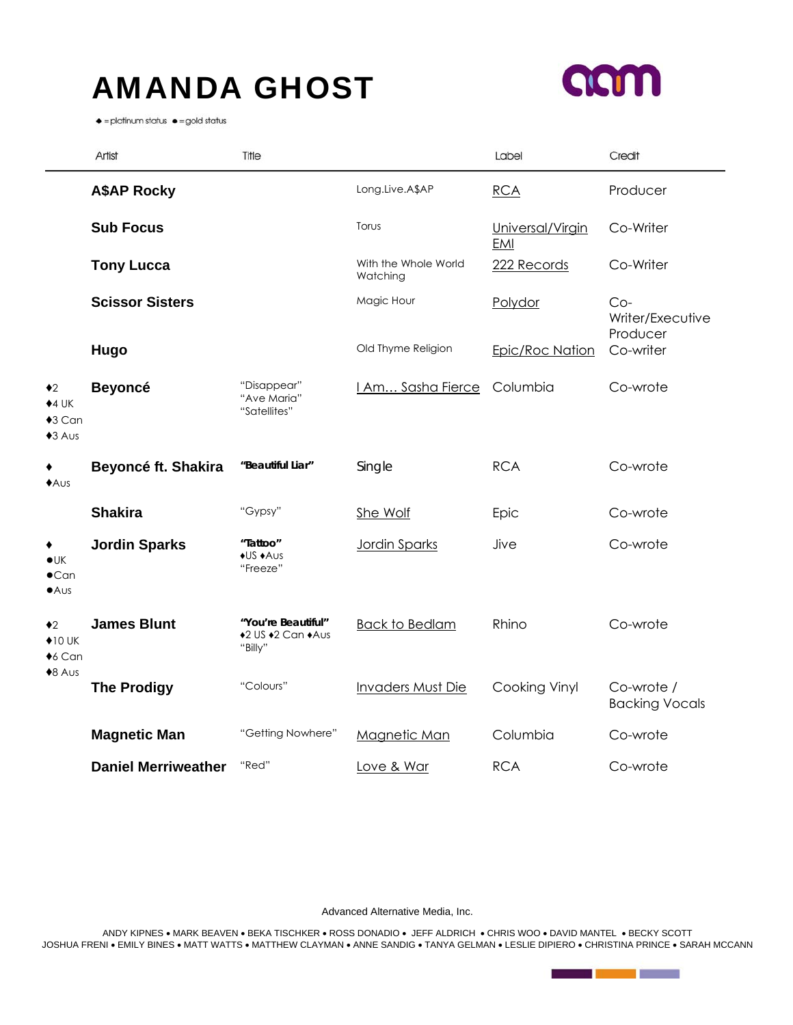## AMANDA GHOST



 $\bullet$  = platinum status  $\bullet$  = gold status

|                                                                  | Artist                     | Title                                              |                                  | Label                          | Credit                                |
|------------------------------------------------------------------|----------------------------|----------------------------------------------------|----------------------------------|--------------------------------|---------------------------------------|
|                                                                  | <b>A\$AP Rocky</b>         |                                                    | Long.Live.A\$AP                  | RCA                            | Producer                              |
|                                                                  | <b>Sub Focus</b>           |                                                    | Torus                            | Universal/Virgin<br><b>EMI</b> | Co-Writer                             |
|                                                                  | <b>Tony Lucca</b>          |                                                    | With the Whole World<br>Watching | 222 Records                    | Co-Writer                             |
|                                                                  | <b>Scissor Sisters</b>     |                                                    | Magic Hour                       | Polydor                        | $Co-$<br>Writer/Executive<br>Producer |
|                                                                  | Hugo                       |                                                    | Old Thyme Religion               | Epic/Roc Nation                | Co-writer                             |
| $\bullet$ 2<br>$+4$ UK<br>$*3$ Can<br>$*3$ Aus                   | <b>Beyoncé</b>             | "Disappear"<br>"Ave Maria"<br>"Satellites"         | <b>LAm Sasha Fierce</b>          | Columbia                       | Co-wrote                              |
| ٠<br>AUS                                                         | Beyoncé ft. Shakira        | "Beautiful Liar"                                   | Single                           | <b>RCA</b>                     | Co-wrote                              |
|                                                                  | <b>Shakira</b>             | "Gypsy"                                            | She Wolf                         | Epic                           | Co-wrote                              |
| ٠<br>$\bullet$ UK<br>$\bullet$ Can<br>AUS                        | <b>Jordin Sparks</b>       | "Tattoo"<br>◆US ◆Aus<br>"Freeze"                   | Jordin Sparks                    | Jive                           | Co-wrote                              |
| $\bullet$ 2<br>$\bigstar$ 10 UK<br>$\triangle$ 6 Can<br>$*8$ Aus | <b>James Blunt</b>         | "You're Beautiful"<br>+2 US +2 Can +Aus<br>"Billy" | <b>Back to Bedlam</b>            | Rhino                          | Co-wrote                              |
|                                                                  | <b>The Prodigy</b>         | "Colours"                                          | <b>Invaders Must Die</b>         | Cooking Vinyl                  | Co-wrote /<br><b>Backing Vocals</b>   |
|                                                                  | <b>Magnetic Man</b>        | "Getting Nowhere"                                  | Magnetic Man                     | Columbia                       | Co-wrote                              |
|                                                                  | <b>Daniel Merriweather</b> | "Red"                                              | Love & War                       | <b>RCA</b>                     | Co-wrote                              |

Advanced Alternative Media, Inc.

ANDY KIPNES • MARK BEAVEN • BEKA TISCHKER • ROSS DONADIO • JEFF ALDRICH • CHRIS WOO • DAVID MANTEL • BECKY SCOTT JOSHUA FRENI • EMILY BINES • MATT WATTS • MATTHEW CLAYMAN • ANNE SANDIG • TANYA GELMAN • LESLIE DIPIERO • CHRISTINA PRINCE • SARAH MCCANN

**Contract Contract Contract**